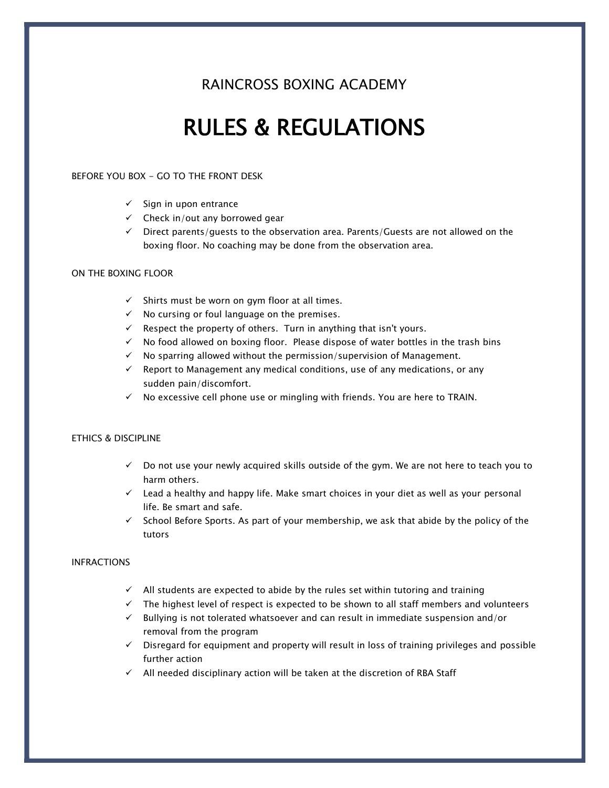### RAINCROSS BOXING ACADEMY

## RULES & REGULATIONS

#### BEFORE YOU BOX - GO TO THE FRONT DESK

- $\checkmark$  Sign in upon entrance
- $\checkmark$  Check in/out any borrowed gear
- $\checkmark$  Direct parents/quests to the observation area. Parents/Guests are not allowed on the boxing floor. No coaching may be done from the observation area.

#### ON THE BOXING FLOOR

- $\checkmark$  Shirts must be worn on gym floor at all times.
- ✓ No cursing or foul language on the premises.
- $\checkmark$  Respect the property of others. Turn in anything that isn't yours.
- $\checkmark$  No food allowed on boxing floor. Please dispose of water bottles in the trash bins
- ✓ No sparring allowed without the permission/supervision of Management.
- $\checkmark$  Report to Management any medical conditions, use of any medications, or any sudden pain/discomfort.
- $\checkmark$  No excessive cell phone use or mingling with friends. You are here to TRAIN.

#### ETHICS & DISCIPLINE

- $\checkmark$  Do not use your newly acquired skills outside of the gym. We are not here to teach you to harm others.
- $\checkmark$  Lead a healthy and happy life. Make smart choices in your diet as well as your personal life. Be smart and safe.
- $\checkmark$  School Before Sports. As part of your membership, we ask that abide by the policy of the tutors

#### INFRACTIONS

- $\checkmark$  All students are expected to abide by the rules set within tutoring and training
- $\checkmark$  The highest level of respect is expected to be shown to all staff members and volunteers
- $\checkmark$  Bullying is not tolerated whatsoever and can result in immediate suspension and/or removal from the program
- ✓ Disregard for equipment and property will result in loss of training privileges and possible further action
- ✓ All needed disciplinary action will be taken at the discretion of RBA Staff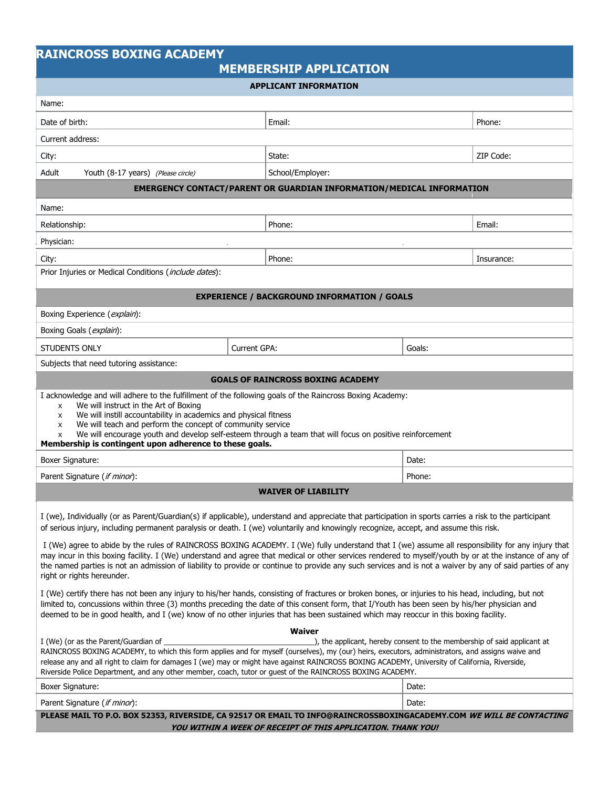## **RAINCROSS BOXING ACADEMY**

| ----- |                               |  |
|-------|-------------------------------|--|
|       | <b>MEMBERSHIP APPLICATION</b> |  |

| <b>APPLICANT INFORMATION</b>                                                                                                                                                                                                                                                                                                                                                                                                                                                                          |              |                                                                             |        |            |  |  |  |
|-------------------------------------------------------------------------------------------------------------------------------------------------------------------------------------------------------------------------------------------------------------------------------------------------------------------------------------------------------------------------------------------------------------------------------------------------------------------------------------------------------|--------------|-----------------------------------------------------------------------------|--------|------------|--|--|--|
| Name:                                                                                                                                                                                                                                                                                                                                                                                                                                                                                                 |              |                                                                             |        |            |  |  |  |
| Date of birth:                                                                                                                                                                                                                                                                                                                                                                                                                                                                                        |              | Email:                                                                      |        | Phone:     |  |  |  |
| Current address:                                                                                                                                                                                                                                                                                                                                                                                                                                                                                      |              |                                                                             |        |            |  |  |  |
| City:                                                                                                                                                                                                                                                                                                                                                                                                                                                                                                 |              | State:                                                                      |        | ZIP Code:  |  |  |  |
| Adult<br>Youth (8-17 years) (Please circle)                                                                                                                                                                                                                                                                                                                                                                                                                                                           |              | School/Employer:                                                            |        |            |  |  |  |
|                                                                                                                                                                                                                                                                                                                                                                                                                                                                                                       |              | <b>EMERGENCY CONTACT/PARENT OR GUARDIAN INFORMATION/MEDICAL INFORMATION</b> |        |            |  |  |  |
| Name:                                                                                                                                                                                                                                                                                                                                                                                                                                                                                                 |              |                                                                             |        |            |  |  |  |
| Relationship:                                                                                                                                                                                                                                                                                                                                                                                                                                                                                         |              | Phone:                                                                      |        | Email:     |  |  |  |
| Physician:                                                                                                                                                                                                                                                                                                                                                                                                                                                                                            |              |                                                                             |        |            |  |  |  |
| City:                                                                                                                                                                                                                                                                                                                                                                                                                                                                                                 |              | Phone:                                                                      |        | Insurance: |  |  |  |
| Prior Injuries or Medical Conditions (include dates):                                                                                                                                                                                                                                                                                                                                                                                                                                                 |              |                                                                             |        |            |  |  |  |
| <b>EXPERIENCE / BACKGROUND INFORMATION / GOALS</b>                                                                                                                                                                                                                                                                                                                                                                                                                                                    |              |                                                                             |        |            |  |  |  |
| Boxing Experience (explain):                                                                                                                                                                                                                                                                                                                                                                                                                                                                          |              |                                                                             |        |            |  |  |  |
| Boxing Goals ( <i>explain</i> ):                                                                                                                                                                                                                                                                                                                                                                                                                                                                      |              |                                                                             |        |            |  |  |  |
| <b>STUDENTS ONLY</b>                                                                                                                                                                                                                                                                                                                                                                                                                                                                                  | Current GPA: |                                                                             | Goals: |            |  |  |  |
| Subjects that need tutoring assistance:                                                                                                                                                                                                                                                                                                                                                                                                                                                               |              |                                                                             |        |            |  |  |  |
|                                                                                                                                                                                                                                                                                                                                                                                                                                                                                                       |              | <b>GOALS OF RAINCROSS BOXING ACADEMY</b>                                    |        |            |  |  |  |
| I acknowledge and will adhere to the fulfillment of the following goals of the Raincross Boxing Academy:<br>We will instruct in the Art of Boxing<br>x<br>We will instill accountability in academics and physical fitness<br>x<br>We will teach and perform the concept of community service<br>X<br>We will encourage youth and develop self-esteem through a team that will focus on positive reinforcement<br>X<br>Membership is contingent upon adherence to these goals.                        |              |                                                                             |        |            |  |  |  |
| Boxer Signature:                                                                                                                                                                                                                                                                                                                                                                                                                                                                                      |              |                                                                             | Date:  |            |  |  |  |
| Parent Signature (if minor):                                                                                                                                                                                                                                                                                                                                                                                                                                                                          |              |                                                                             | Phone: |            |  |  |  |
| <b>WAIVER OF LIABILITY</b>                                                                                                                                                                                                                                                                                                                                                                                                                                                                            |              |                                                                             |        |            |  |  |  |
| I (we), Individually (or as Parent/Guardian(s) if applicable), understand and appreciate that participation in sports carries a risk to the participant<br>of serious injury, including permanent paralysis or death. I (we) voluntarily and knowingly recognize, accept, and assume this risk.                                                                                                                                                                                                       |              |                                                                             |        |            |  |  |  |
| I (We) agree to abide by the rules of RAINCROSS BOXING ACADEMY. I (We) fully understand that I (we) assume all responsibility for any injury that<br>may incur in this boxing facility. I (We) understand and agree that medical or other services rendered to myself/youth by or at the instance of any of<br>the named parties is not an admission of liability to provide or continue to provide any such services and is not a waiver by any of said parties of any<br>right or rights hereunder. |              |                                                                             |        |            |  |  |  |
| I (We) certify there has not been any injury to his/her hands, consisting of fractures or broken bones, or injuries to his head, including, but not<br>limited to, concussions within three (3) months preceding the date of this consent form, that I/Youth has been seen by his/her physician and<br>deemed to be in good health, and I (we) know of no other injuries that has been sustained which may reoccur in this boxing facility.                                                           |              |                                                                             |        |            |  |  |  |
| I (We) (or as the Parent/Guardian of                                                                                                                                                                                                                                                                                                                                                                                                                                                                  |              | <b>Waiver</b>                                                               |        |            |  |  |  |
| ), the applicant, hereby consent to the membership of said applicant at<br>RAINCROSS BOXING ACADEMY, to which this form applies and for myself (ourselves), my (our) heirs, executors, administrators, and assigns waive and<br>release any and all right to claim for damages I (we) may or might have against RAINCROSS BOXING ACADEMY, University of California, Riverside,<br>Riverside Police Department, and any other member, coach, tutor or guest of the RAINCROSS BOXING ACADEMY.           |              |                                                                             |        |            |  |  |  |
| <b>Boxer Signature:</b>                                                                                                                                                                                                                                                                                                                                                                                                                                                                               |              | Date:                                                                       |        |            |  |  |  |
| Parent Signature (if minor):                                                                                                                                                                                                                                                                                                                                                                                                                                                                          |              |                                                                             | Date:  |            |  |  |  |
| PLEASE MAIL TO P.O. BOX 52353, RIVERSIDE, CA 92517 OR EMAIL TO INFO@RAINCROSSBOXINGACADEMY.COM WE WILL BE CONTACTING                                                                                                                                                                                                                                                                                                                                                                                  |              |                                                                             |        |            |  |  |  |

**YOU WITHIN A WEEK OF RECEIPT OF THIS APPLICATION. THANK YOU!**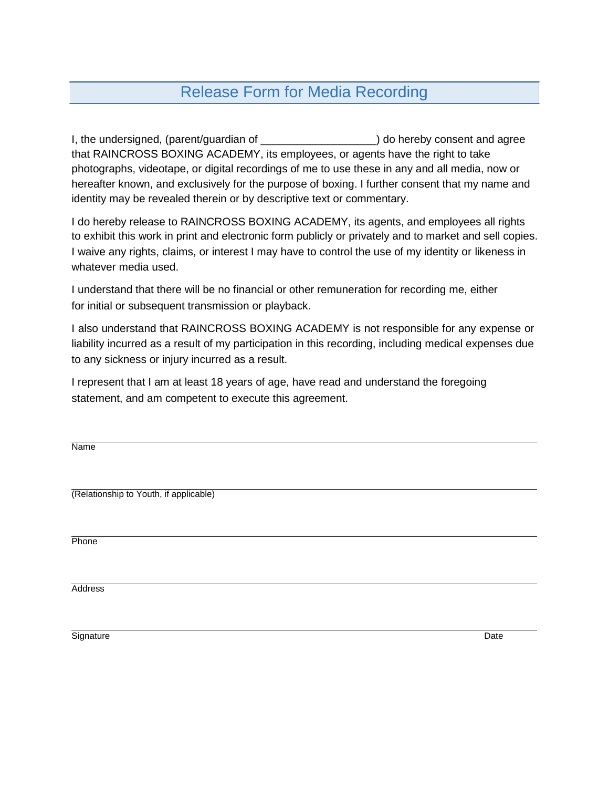## Release Form for Media Recording

I, the undersigned, (parent/guardian of  $\qquad \qquad$ ) do hereby consent and agree that RAINCROSS BOXING ACADEMY, its employees, or agents have the right to take photographs, videotape, or digital recordings of me to use these in any and all media, now or hereafter known, and exclusively for the purpose of boxing. I further consent that my name and identity may be revealed therein or by descriptive text or commentary.

I do hereby release to RAINCROSS BOXING ACADEMY, its agents, and employees all rights to exhibit this work in print and electronic form publicly or privately and to market and sell copies. I waive any rights, claims, or interest I may have to control the use of my identity or likeness in whatever media used.

I understand that there will be no financial or other remuneration for recording me, either for initial or subsequent transmission or playback.

I also understand that RAINCROSS BOXING ACADEMY is not responsible for any expense or liability incurred as a result of my participation in this recording, including medical expenses due to any sickness or injury incurred as a result.

I represent that I am at least 18 years of age, have read and understand the foregoing statement, and am competent to execute this agreement.

Name (Relationship to Youth, if applicable) **Phone Address** 

Signature Date **Date of the Contract of Contract Contract of Contract Contract Contract Only and Date**